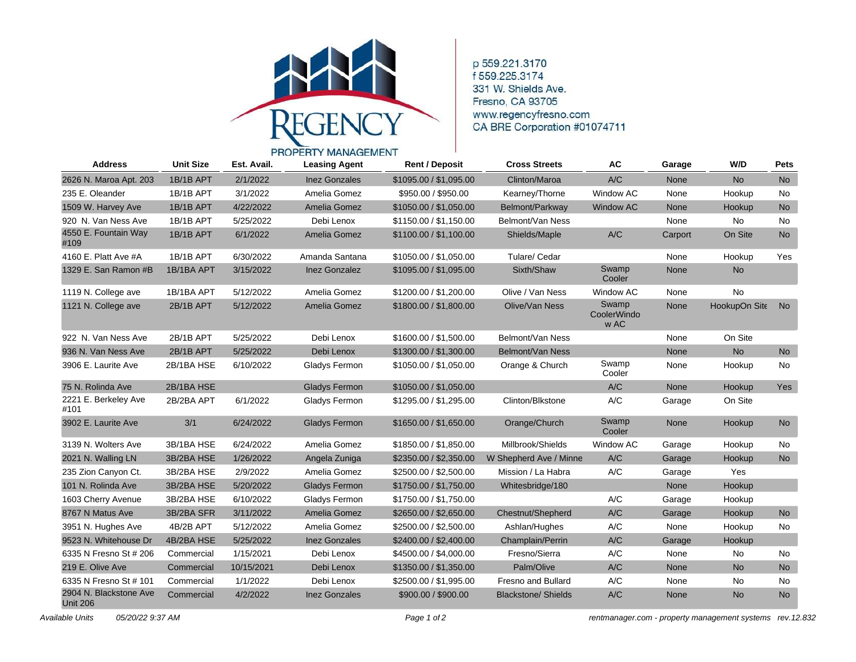

p 559.221.3170 f 559.225.3174 331 W. Shields Ave. Fresno, CA 93705 www.regencyfresno.com CA BRE Corporation #01074711

## PROPERTY MANAGEMENT

| <b>Address</b>                            | <b>Unit Size</b> | Est. Avail. | <b>Leasing Agent</b> | <b>Rent / Deposit</b>  | <b>Cross Streets</b>       | AC                           | Garage  | W/D           | <b>Pets</b> |
|-------------------------------------------|------------------|-------------|----------------------|------------------------|----------------------------|------------------------------|---------|---------------|-------------|
| 2626 N. Maroa Apt. 203                    | 1B/1B APT        | 2/1/2022    | <b>Inez Gonzales</b> | \$1095.00 / \$1,095.00 | Clinton/Maroa              | A/C                          | None    | <b>No</b>     | <b>No</b>   |
| 235 E. Oleander                           | 1B/1B APT        | 3/1/2022    | Amelia Gomez         | \$950.00 / \$950.00    | Kearney/Thorne             | <b>Window AC</b>             | None    | Hookup        | No.         |
| 1509 W. Harvey Ave                        | 1B/1B APT        | 4/22/2022   | Amelia Gomez         | \$1050.00 / \$1,050.00 | Belmont/Parkway            | <b>Window AC</b>             | None    | Hookup        | <b>No</b>   |
| 920 N. Van Ness Ave                       | 1B/1B APT        | 5/25/2022   | Debi Lenox           | \$1150.00 / \$1,150.00 | Belmont/Van Ness           |                              | None    | No            | No.         |
| 4550 E. Fountain Way<br>#109              | 1B/1B APT        | 6/1/2022    | Amelia Gomez         | \$1100.00 / \$1,100.00 | Shields/Maple              | A/C                          | Carport | On Site       | No          |
| 4160 E. Platt Ave #A                      | 1B/1B APT        | 6/30/2022   | Amanda Santana       | \$1050.00 / \$1,050.00 | Tulare/ Cedar              |                              | None    | Hookup        | Yes         |
| 1329 E. San Ramon #B                      | 1B/1BA APT       | 3/15/2022   | <b>Inez Gonzalez</b> | \$1095.00 / \$1,095.00 | Sixth/Shaw                 | Swamp<br>Cooler              | None    | <b>No</b>     |             |
| 1119 N. College ave                       | 1B/1BA APT       | 5/12/2022   | Amelia Gomez         | \$1200.00 / \$1,200.00 | Olive / Van Ness           | Window AC                    | None    | <b>No</b>     |             |
| 1121 N. College ave                       | 2B/1B APT        | 5/12/2022   | Amelia Gomez         | \$1800.00 / \$1,800.00 | Olive/Van Ness             | Swamp<br>CoolerWindo<br>w AC | None    | HookupOn Site | No          |
| 922 N. Van Ness Ave                       | 2B/1B APT        | 5/25/2022   | Debi Lenox           | \$1600.00 / \$1,500.00 | Belmont/Van Ness           |                              | None    | On Site       |             |
| 936 N. Van Ness Ave                       | 2B/1B APT        | 5/25/2022   | Debi Lenox           | \$1300.00 / \$1,300.00 | Belmont/Van Ness           |                              | None    | No            | No          |
| 3906 E. Laurite Ave                       | 2B/1BA HSE       | 6/10/2022   | Gladys Fermon        | \$1050.00 / \$1,050.00 | Orange & Church            | Swamp<br>Cooler              | None    | Hookup        | No          |
| 75 N. Rolinda Ave                         | 2B/1BA HSE       |             | <b>Gladys Fermon</b> | \$1050.00 / \$1,050.00 |                            | A/C                          | None    | Hookup        | Yes         |
| 2221 E. Berkeley Ave<br>#101              | 2B/2BA APT       | 6/1/2022    | Gladys Fermon        | \$1295.00 / \$1,295.00 | Clinton/Blkstone           | A/C                          | Garage  | On Site       |             |
| 3902 E. Laurite Ave                       | 3/1              | 6/24/2022   | <b>Gladys Fermon</b> | \$1650.00 / \$1,650.00 | Orange/Church              | Swamp<br>Cooler              | None    | Hookup        | <b>No</b>   |
| 3139 N. Wolters Ave                       | 3B/1BA HSE       | 6/24/2022   | Amelia Gomez         | \$1850.00 / \$1,850.00 | Millbrook/Shields          | Window AC                    | Garage  | Hookup        | No          |
| 2021 N. Walling LN                        | 3B/2BA HSE       | 1/26/2022   | Angela Zuniga        | \$2350.00 / \$2,350.00 | W Shepherd Ave / Minne     | A/C                          | Garage  | Hookup        | <b>No</b>   |
| 235 Zion Canyon Ct.                       | 3B/2BA HSE       | 2/9/2022    | Amelia Gomez         | \$2500.00 / \$2,500.00 | Mission / La Habra         | A/C                          | Garage  | Yes           |             |
| 101 N. Rolinda Ave                        | 3B/2BA HSE       | 5/20/2022   | <b>Gladys Fermon</b> | \$1750.00 / \$1,750.00 | Whitesbridge/180           |                              | None    | Hookup        |             |
| 1603 Cherry Avenue                        | 3B/2BA HSE       | 6/10/2022   | Gladys Fermon        | \$1750.00 / \$1,750.00 |                            | A/C                          | Garage  | Hookup        |             |
| 8767 N Matus Ave                          | 3B/2BA SFR       | 3/11/2022   | Amelia Gomez         | \$2650.00 / \$2,650.00 | Chestnut/Shepherd          | A/C                          | Garage  | Hookup        | <b>No</b>   |
| 3951 N. Hughes Ave                        | 4B/2B APT        | 5/12/2022   | Amelia Gomez         | \$2500.00 / \$2,500.00 | Ashlan/Hughes              | A/C                          | None    | Hookup        | No.         |
| 9523 N. Whitehouse Dr                     | 4B/2BA HSE       | 5/25/2022   | <b>Inez Gonzales</b> | \$2400.00 / \$2,400.00 | Champlain/Perrin           | A/C                          | Garage  | Hookup        |             |
| 6335 N Fresno St # 206                    | Commercial       | 1/15/2021   | Debi Lenox           | \$4500.00 / \$4,000.00 | Fresno/Sierra              | A/C                          | None    | No            | <b>No</b>   |
| 219 E. Olive Ave                          | Commercial       | 10/15/2021  | Debi Lenox           | \$1350.00 / \$1,350.00 | Palm/Olive                 | A/C                          | None    | <b>No</b>     | <b>No</b>   |
| 6335 N Fresno St # 101                    | Commercial       | 1/1/2022    | Debi Lenox           | \$2500.00 / \$1,995.00 | Fresno and Bullard         | A/C                          | None    | No            | No          |
| 2904 N. Blackstone Ave<br><b>Unit 206</b> | Commercial       | 4/2/2022    | <b>Inez Gonzales</b> | \$900.00 / \$900.00    | <b>Blackstone/ Shields</b> | A/C                          | None    | <b>No</b>     | <b>No</b>   |